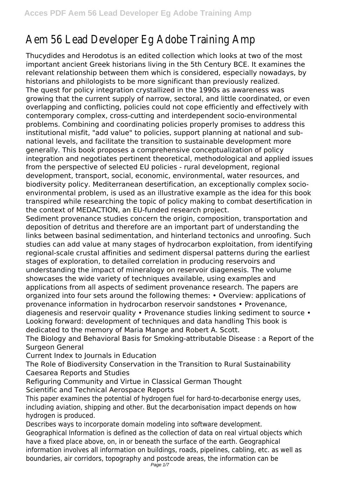## Aem 56 Lead Developer Eg Adobe Training Amp

Thucydides and Herodotus is an edited collection which looks at two of the most important ancient Greek historians living in the 5th Century BCE. It examines the relevant relationship between them which is considered, especially nowadays, by historians and philologists to be more significant than previously realized. The quest for policy integration crystallized in the 1990s as awareness was growing that the current supply of narrow, sectoral, and little coordinated, or even overlapping and conflicting, policies could not cope efficiently and effectively with contemporary complex, cross-cutting and interdependent socio-environmental problems. Combining and coordinating policies properly promises to address this institutional misfit, "add value" to policies, support planning at national and subnational levels, and facilitate the transition to sustainable development more generally. This book proposes a comprehensive conceptualization of policy integration and negotiates pertinent theoretical, methodological and applied issues from the perspective of selected EU policies - rural development, regional development, transport, social, economic, environmental, water resources, and biodiversity policy. Mediterranean desertification, an exceptionally complex socioenvironmental problem, is used as an illustrative example as the idea for this book transpired while researching the topic of policy making to combat desertification in the context of MEDACTION, an EU-funded research project.

Sediment provenance studies concern the origin, composition, transportation and deposition of detritus and therefore are an important part of understanding the links between basinal sedimentation, and hinterland tectonics and unroofing. Such studies can add value at many stages of hydrocarbon exploitation, from identifying regional-scale crustal affinities and sediment dispersal patterns during the earliest stages of exploration, to detailed correlation in producing reservoirs and understanding the impact of mineralogy on reservoir diagenesis. The volume showcases the wide variety of techniques available, using examples and applications from all aspects of sediment provenance research. The papers are organized into four sets around the following themes: • Overview: applications of provenance information in hydrocarbon reservoir sandstones • Provenance, diagenesis and reservoir quality • Provenance studies linking sediment to source • Looking forward: development of techniques and data handling This book is dedicated to the memory of Maria Mange and Robert A. Scott.

The Biology and Behavioral Basis for Smoking-attributable Disease : a Report of the Surgeon General

Current Index to Journals in Education

The Role of Biodiversity Conservation in the Transition to Rural Sustainability Caesarea Reports and Studies

Refiguring Community and Virtue in Classical German Thought Scientific and Technical Aerospace Reports

This paper examines the potential of hydrogen fuel for hard-to-decarbonise energy uses, including aviation, shipping and other. But the decarbonisation impact depends on how hydrogen is produced.

Describes ways to incorporate domain modeling into software development. Geographical Information is defined as the collection of data on real virtual objects which have a fixed place above, on, in or beneath the surface of the earth. Geographical information involves all information on buildings, roads, pipelines, cabling, etc. as well as boundaries, air corridors, topography and postcode areas, the information can be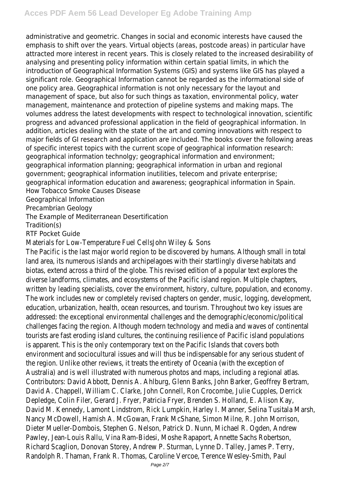administrative and geometric. Changes in social and economic interests have caused the emphasis to shift over the years. Virtual objects (areas, postcode areas) in particular have attracted more interest in recent years. This is closely related to the increased desirability of analysing and presenting policy information within certain spatial limits, in which the introduction of Geographical Information Systems (GIS) and systems like GIS has played a significant role. Geographical Information cannot be regarded as the informational side of one policy area. Geographical information is not only necessary for the layout and management of space, but also for such things as taxation, environmental policy, water management, maintenance and protection of pipeline systems and making maps. The volumes address the latest developments with respect to technological innovation, scientific progress and advanced professional application in the field of geographical information. In addition, articles dealing with the state of the art and coming innovations with respect to major fields of GI research and application are included. The books cover the following areas of specific interest topics with the current scope of geographical information research: geographical information technolgy; geographical information and environment; geographical information planning; geographical information in urban and regional government; geographical information inutilities, telecom and private enterprise; geographical information education and awareness; geographical information in Spain. How Tobacco Smoke Causes Disease Geographical Information

Precambrian Geology

The Example of Mediterranean Desertification

Tradition(s)

RTF Pocket Guide

Materials for Low-Temperature Fuel CellsJohn Wiley & Sons

The Pacific is the last major world region to be discovered by humans. Although small in total land area, its numerous islands and archipelagoes with their startlingly diverse habitats and biotas, extend across a third of the globe. This revised edition of a popular text explores the diverse landforms, climates, and ecosystems of the Pacific island region. Multiple chapters, written by leading specialists, cover the environment, history, culture, population, and economy. The work includes new or completely revised chapters on gender, music, logging, development, education, urbanization, health, ocean resources, and tourism. Throughout two key issues are addressed: the exceptional environmental challenges and the demographic/economic/political challenges facing the region. Although modern technology and media and waves of continental tourists are fast eroding island cultures, the continuing resilience of Pacific island populations is apparent. This is the only contemporary text on the Pacific Islands that covers both environment and sociocultural issues and will thus be indispensable for any serious student of the region. Unlike other reviews, it treats the entirety of Oceania (with the exception of Australia) and is well illustrated with numerous photos and maps, including a regional atlas. Contributors: David Abbott, Dennis A. Ahlburg, Glenn Banks, John Barker, Geoffrey Bertram, David A. Chappell, William C. Clarke, John Connell, Ron Crocombe, Julie Cupples, Derrick Depledge, Colin Filer, Gerard J. Fryer, Patricia Fryer, Brenden S. Holland, E. Alison Kay, David M. Kennedy, Lamont Lindstrom, Rick Lumpkin, Harley I. Manner, Selina Tusitala Marsh, Nancy McDowell, Hamish A. McGowan, Frank McShane, Simon Milne, R. John Morrison, Dieter Mueller-Dombois, Stephen G. Nelson, Patrick D. Nunn, Michael R. Ogden, Andrew Pawley, Jean-Louis Rallu, Vina Ram-Bidesi, Moshe Rapaport, Annette Sachs Robertson, Richard Scaglion, Donovan Storey, Andrew P. Sturman, Lynne D. Talley, James P. Terry, Randolph R. Thaman, Frank R. Thomas, Caroline Vercoe, Terence Wesley-Smith, Paul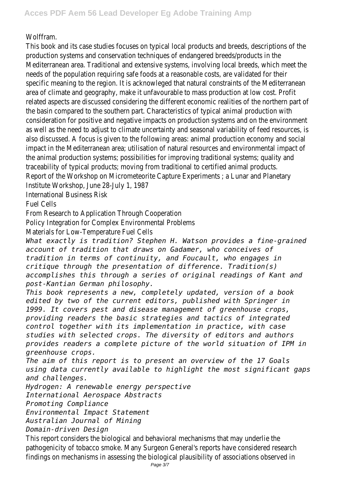Wolffram.

This book and its case studies focuses on typical local products and breeds, descriptions of the production systems and conservation techniques of endangered breeds/products in the Mediterranean area. Traditional and extensive systems, involving local breeds, which meet the needs of the population requiring safe foods at a reasonable costs, are validated for their specific meaning to the region. It is acknowleged that natural constraints of the Mediterranean area of climate and geography, make it unfavourable to mass production at low cost. Profit related aspects are discussed considering the different economic realities of the northern part of the basin compared to the southern part. Characteristics of typical animal production with consideration for positive and negative impacts on production systems and on the environment as well as the need to adjust to climate uncertainty and seasonal variability of feed resources, is also discussed. A focus is given to the following areas: animal production economy and social impact in the Mediterranean area; utilisation of natural resources and environmental impact of the animal production systems; possibilities for improving traditional systems; quality and traceability of typical products; moving from traditional to certified animal products. Report of the Workshop on Micrometeorite Capture Experiments ; a Lunar and Planetary Institute Workshop, June 28-July 1, 1987 International Business Risk

Fuel Cells

From Research to Application Through Cooperation

Policy Integration for Complex Environmental Problems

Materials for Low-Temperature Fuel Cells

*What exactly is tradition? Stephen H. Watson provides a fine-grained account of tradition that draws on Gadamer, who conceives of tradition in terms of continuity, and Foucault, who engages in critique through the presentation of difference. Tradition(s) accomplishes this through a series of original readings of Kant and post-Kantian German philosophy.*

*This book represents a new, completely updated, version of a book edited by two of the current editors, published with Springer in 1999. It covers pest and disease management of greenhouse crops, providing readers the basic strategies and tactics of integrated control together with its implementation in practice, with case studies with selected crops. The diversity of editors and authors provides readers a complete picture of the world situation of IPM in greenhouse crops.*

*The aim of this report is to present an overview of the 17 Goals using data currently available to highlight the most significant gaps and challenges.*

*Hydrogen: A renewable energy perspective*

*International Aerospace Abstracts*

*Promoting Compliance*

*Environmental Impact Statement*

*Australian Journal of Mining*

*Domain-driven Design*

This report considers the biological and behavioral mechanisms that may underlie the pathogenicity of tobacco smoke. Many Surgeon General's reports have considered research findings on mechanisms in assessing the biological plausibility of associations observed in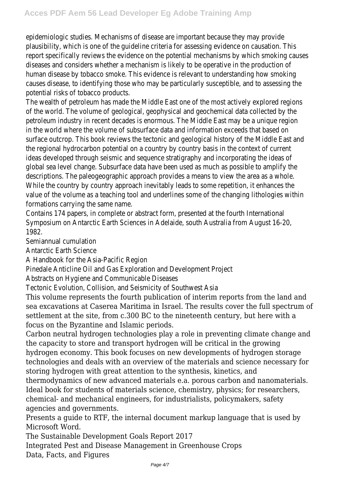epidemiologic studies. Mechanisms of disease are important because they may provide plausibility, which is one of the guideline criteria for assessing evidence on causation. This report specifically reviews the evidence on the potential mechanisms by which smoking causes diseases and considers whether a mechanism is likely to be operative in the production of human disease by tobacco smoke. This evidence is relevant to understanding how smoking causes disease, to identifying those who may be particularly susceptible, and to assessing the potential risks of tobacco products.

The wealth of petroleum has made the Middle East one of the most actively explored regions of the world. The volume of geological, geophysical and geochemical data collected by the petroleum industry in recent decades is enormous. The Middle East may be a unique region in the world where the volume of subsurface data and information exceeds that based on surface outcrop. This book reviews the tectonic and geological history of the Middle East and the regional hydrocarbon potential on a country by country basis in the context of current ideas developed through seismic and sequence stratigraphy and incorporating the ideas of global sea level change. Subsurface data have been used as much as possible to amplify the descriptions. The paleogeographic approach provides a means to view the area as a whole. While the country by country approach inevitably leads to some repetition, it enhances the value of the volume as a teaching tool and underlines some of the changing lithologies within formations carrying the same name.

Contains 174 papers, in complete or abstract form, presented at the fourth International Symposium on Antarctic Earth Sciences in Adelaide, south Australia from August 16-20, 1982.

Semiannual cumulation

Antarctic Earth Science

A Handbook for the Asia-Pacific Region

Pinedale Anticline Oil and Gas Exploration and Development Project

Abstracts on Hygiene and Communicable Diseases

Tectonic Evolution, Collision, and Seismicity of Southwest Asia

This volume represents the fourth publication of interim reports from the land and sea excavations at Caserea Maritima in Israel. The results cover the full spectrum of settlement at the site, from c.300 BC to the nineteenth century, but here with a focus on the Byzantine and Islamic periods.

Carbon neutral hydrogen technologies play a role in preventing climate change and the capacity to store and transport hydrogen will be critical in the growing hydrogen economy. This book focuses on new developments of hydrogen storage technologies and deals with an overview of the materials and science necessary for storing hydrogen with great attention to the synthesis, kinetics, and

thermodynamics of new advanced materials e.a. porous carbon and nanomaterials. Ideal book for students of materials science, chemistry, physics; for researchers, chemical- and mechanical engineers, for industrialists, policymakers, safety agencies and governments.

Presents a guide to RTF, the internal document markup language that is used by Microsoft Word.

The Sustainable Development Goals Report 2017

Integrated Pest and Disease Management in Greenhouse Crops Data, Facts, and Figures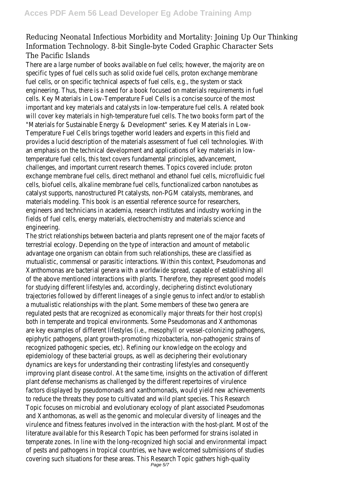## Reducing Neonatal Infectious Morbidity and Mortality: Joining Up Our Thinking Information Technology. 8-bit Single-byte Coded Graphic Character Sets The Pacific Islands

There are a large number of books available on fuel cells; however, the majority are on specific types of fuel cells such as solid oxide fuel cells, proton exchange membrane fuel cells, or on specific technical aspects of fuel cells, e.g., the system or stack engineering. Thus, there is a need for a book focused on materials requirements in fuel cells. Key Materials in Low-Temperature Fuel Cells is a concise source of the most important and key materials and catalysts in low-temperature fuel cells. A related book will cover key materials in high-temperature fuel cells. The two books form part of the "Materials for Sustainable Energy & Development" series. Key Materials in Low-Temperature Fuel Cells brings together world leaders and experts in this field and provides a lucid description of the materials assessment of fuel cell technologies. With an emphasis on the technical development and applications of key materials in lowtemperature fuel cells, this text covers fundamental principles, advancement, challenges, and important current research themes. Topics covered include: proton exchange membrane fuel cells, direct methanol and ethanol fuel cells, microfluidic fuel cells, biofuel cells, alkaline membrane fuel cells, functionalized carbon nanotubes as catalyst supports, nanostructured Pt catalysts, non-PGM catalysts, membranes, and materials modeling. This book is an essential reference source for researchers, engineers and technicians in academia, research institutes and industry working in the fields of fuel cells, energy materials, electrochemistry and materials science and engineering.

The strict relationships between bacteria and plants represent one of the major facets of terrestrial ecology. Depending on the type of interaction and amount of metabolic advantage one organism can obtain from such relationships, these are classified as mutualistic, commensal or parasitic interactions. Within this context, Pseudomonas and Xanthomonas are bacterial genera with a worldwide spread, capable of establishing all of the above mentioned interactions with plants. Therefore, they represent good models for studying different lifestyles and, accordingly, deciphering distinct evolutionary trajectories followed by different lineages of a single genus to infect and/or to establish a mutualistic relationships with the plant. Some members of these two genera are regulated pests that are recognized as economically major threats for their host crop(s) both in temperate and tropical environments. Some Pseudomonas and Xanthomonas are key examples of different lifestyles (i.e., mesophyll or vessel-colonizing pathogens, epiphytic pathogens, plant growth-promoting rhizobacteria, non-pathogenic strains of recognized pathogenic species, etc). Refining our knowledge on the ecology and epidemiology of these bacterial groups, as well as deciphering their evolutionary dynamics are keys for understanding their contrasting lifestyles and consequently improving plant disease control. At the same time, insights on the activation of different plant defense mechanisms as challenged by the different repertoires of virulence factors displayed by pseudomonads and xanthomonads, would yield new achievements to reduce the threats they pose to cultivated and wild plant species. This Research Topic focuses on microbial and evolutionary ecology of plant associated Pseudomonas and Xanthomonas, as well as the genomic and molecular diversity of lineages and the virulence and fitness features involved in the interaction with the host-plant. Most of the literature available for this Research Topic has been performed for strains isolated in temperate zones. In line with the long-recognized high social and environmental impact of pests and pathogens in tropical countries, we have welcomed submissions of studies covering such situations for these areas. This Research Topic gathers high-quality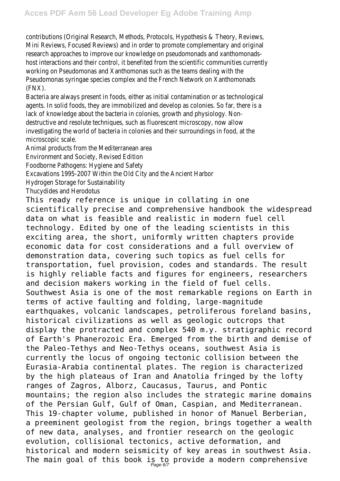contributions (Original Research, Methods, Protocols, Hypothesis & Theory, Reviews, Mini Reviews, Focused Reviews) and in order to promote complementary and original research approaches to improve our knowledge on pseudomonads and xanthomonadshost interactions and their control, it benefited from the scientific communities currently working on Pseudomonas and Xanthomonas such as the teams dealing with the Pseudomonas syringae species complex and the French Network on Xanthomonads (FNX).

Bacteria are always present in foods, either as initial contamination or as technological agents. In solid foods, they are immobilized and develop as colonies. So far, there is a lack of knowledge about the bacteria in colonies, growth and physiology. Nondestructive and resolute techniques, such as fluorescent microscopy, now allow investigating the world of bacteria in colonies and their surroundings in food, at the microscopic scale.

Animal products from the Mediterranean area

Environment and Society, Revised Edition

Foodborne Pathogens: Hygiene and Safety

Excavations 1995-2007 Within the Old City and the Ancient Harbor

Hydrogen Storage for Sustainability

Thucydides and Herodotus

This ready reference is unique in collating in one scientifically precise and comprehensive handbook the widespread data on what is feasible and realistic in modern fuel cell technology. Edited by one of the leading scientists in this exciting area, the short, uniformly written chapters provide economic data for cost considerations and a full overview of demonstration data, covering such topics as fuel cells for transportation, fuel provision, codes and standards. The result is highly reliable facts and figures for engineers, researchers and decision makers working in the field of fuel cells. Southwest Asia is one of the most remarkable regions on Earth in terms of active faulting and folding, large-magnitude earthquakes, volcanic landscapes, petroliferous foreland basins, historical civilizations as well as geologic outcrops that display the protracted and complex 540 m.y. stratigraphic record of Earth's Phanerozoic Era. Emerged from the birth and demise of the Paleo-Tethys and Neo-Tethys oceans, southwest Asia is currently the locus of ongoing tectonic collision between the Eurasia-Arabia continental plates. The region is characterized by the high plateaus of Iran and Anatolia fringed by the lofty ranges of Zagros, Alborz, Caucasus, Taurus, and Pontic mountains; the region also includes the strategic marine domains of the Persian Gulf, Gulf of Oman, Caspian, and Mediterranean. This 19-chapter volume, published in honor of Manuel Berberian, a preeminent geologist from the region, brings together a wealth of new data, analyses, and frontier research on the geologic evolution, collisional tectonics, active deformation, and historical and modern seismicity of key areas in southwest Asia. The main goal of this book is to provide a modern comprehensive